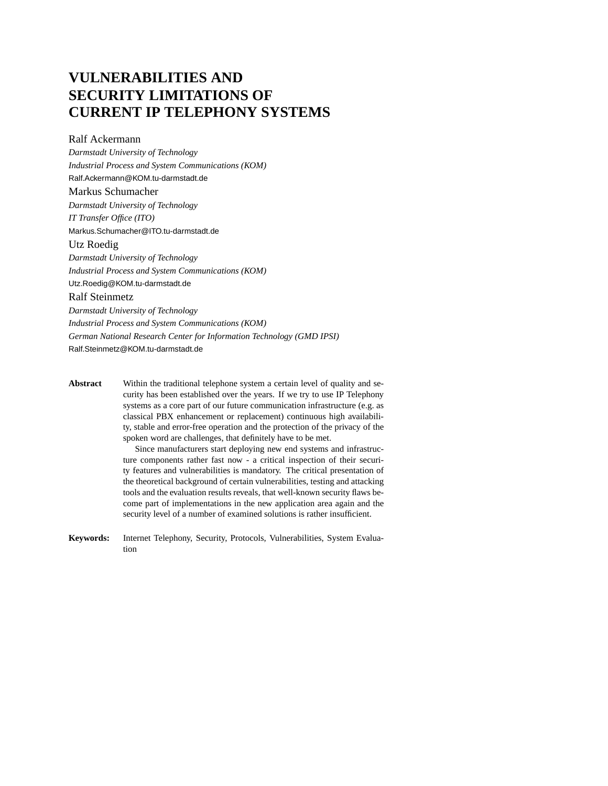# **VULNERABILITIES AND SECURITY LIMITATIONS OF CURRENT IP TELEPHONY SYSTEMS**

Ralf Ackermann

*Darmstadt University of Technology Industrial Process and System Communications (KOM)* Ralf.Ackermann@KOM.tu-darmstadt.de Markus Schumacher *Darmstadt University of Technology IT Transfer Office (ITO)* Markus.Schumacher@ITO.tu-darmstadt.de Utz Roedig *Darmstadt University of Technology Industrial Process and System Communications (KOM)* Utz.Roedig@KOM.tu-darmstadt.de Ralf Steinmetz *Darmstadt University of Technology Industrial Process and System Communications (KOM) German National Research Center for Information Technology (GMD IPSI)* Ralf.Steinmetz@KOM.tu-darmstadt.de

**Abstract** Within the traditional telephone system a certain level of quality and security has been established over the years. If we try to use IP Telephony systems as a core part of our future communication infrastructure (e.g. as classical PBX enhancement or replacement) continuous high availability, stable and error-free operation and the protection of the privacy of the spoken word are challenges, that definitely have to be met.

> Since manufacturers start deploying new end systems and infrastructure components rather fast now - a critical inspection of their security features and vulnerabilities is mandatory. The critical presentation of the theoretical background of certain vulnerabilities, testing and attacking tools and the evaluation results reveals, that well-known security flaws become part of implementations in the new application area again and the security level of a number of examined solutions is rather insufficient.

**Keywords:** Internet Telephony, Security, Protocols, Vulnerabilities, System Evaluation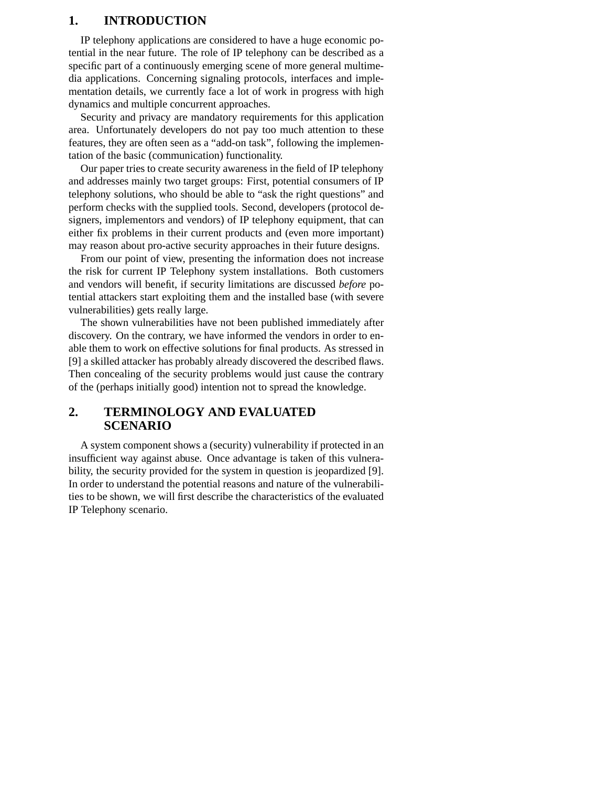### **1. INTRODUCTION**

IP telephony applications are considered to have a huge economic potential in the near future. The role of IP telephony can be described as a specific part of a continuously emerging scene of more general multimedia applications. Concerning signaling protocols, interfaces and implementation details, we currently face a lot of work in progress with high dynamics and multiple concurrent approaches.

Security and privacy are mandatory requirements for this application area. Unfortunately developers do not pay too much attention to these features, they are often seen as a "add-on task", following the implementation of the basic (communication) functionality.

Our paper tries to create security awareness in the field of IP telephony and addresses mainly two target groups: First, potential consumers of IP telephony solutions, who should be able to "ask the right questions" and perform checks with the supplied tools. Second, developers (protocol designers, implementors and vendors) of IP telephony equipment, that can either fix problems in their current products and (even more important) may reason about pro-active security approaches in their future designs.

From our point of view, presenting the information does not increase the risk for current IP Telephony system installations. Both customers and vendors will benefit, if security limitations are discussed *before* potential attackers start exploiting them and the installed base (with severe vulnerabilities) gets really large.

The shown vulnerabilities have not been published immediately after discovery. On the contrary, we have informed the vendors in order to enable them to work on effective solutions for final products. As stressed in [9] a skilled attacker has probably already discovered the described flaws. Then concealing of the security problems would just cause the contrary of the (perhaps initially good) intention not to spread the knowledge.

### **2. TERMINOLOGY AND EVALUATED SCENARIO**

A system component shows a (security) vulnerability if protected in an insufficient way against abuse. Once advantage is taken of this vulnerability, the security provided for the system in question is jeopardized [9]. In order to understand the potential reasons and nature of the vulnerabilities to be shown, we will first describe the characteristics of the evaluated IP Telephony scenario.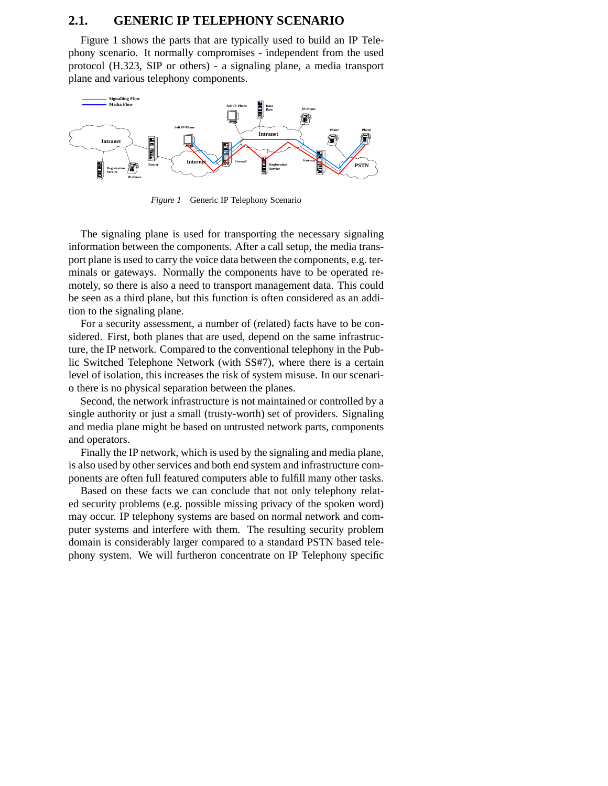#### **2.1. GENERIC IP TELEPHONY SCENARIO**

Figure 1 shows the parts that are typically used to build an IP Telephony scenario. It normally compromises - independent from the used protocol (H.323, SIP or others) - a signaling plane, a media transport plane and various telephony components.



*Figure 1* Generic IP Telephony Scenario

The signaling plane is used for transporting the necessary signaling information between the components. After a call setup, the media transport plane is used to carry the voice data between the components, e.g. terminals or gateways. Normally the components have to be operated remotely, so there is also a need to transport management data. This could be seen as a third plane, but this function is often considered as an addition to the signaling plane.

For a security assessment, a number of (related) facts have to be considered. First, both planes that are used, depend on the same infrastructure, the IP network. Compared to the conventional telephony in the Public Switched Telephone Network (with SS#7), where there is a certain level of isolation, this increases the risk of system misuse. In our scenario there is no physical separation between the planes.

Second, the network infrastructure is not maintained or controlled by a single authority or just a small (trusty-worth) set of providers. Signaling and media plane might be based on untrusted network parts, components and operators.

Finally the IP network, which is used by the signaling and media plane, is also used by other services and both end system and infrastructure components are often full featured computers able to fulfill many other tasks.

Based on these facts we can conclude that not only telephony related security problems (e.g. possible missing privacy of the spoken word) may occur. IP telephony systems are based on normal network and computer systems and interfere with them. The resulting security problem domain is considerably larger compared to a standard PSTN based telephony system. We will furtheron concentrate on IP Telephony specific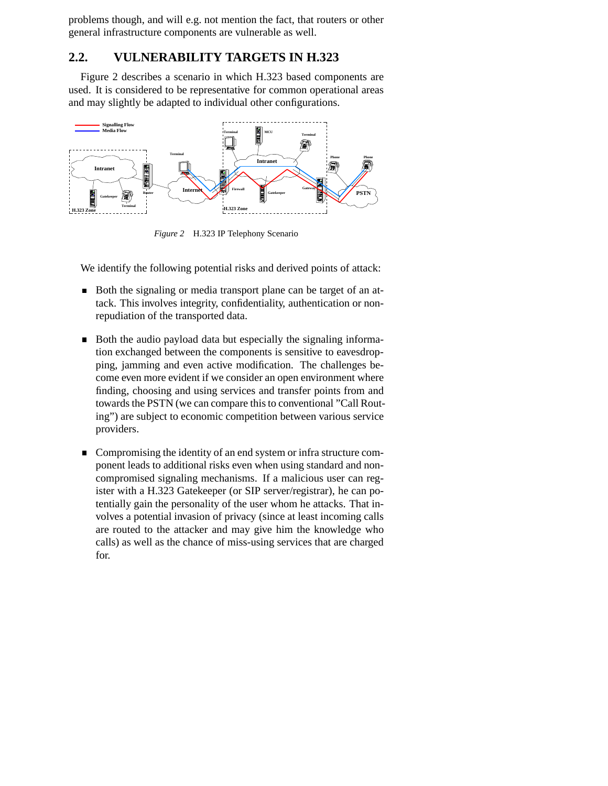problems though, and will e.g. not mention the fact, that routers or other general infrastructure components are vulnerable as well.

# **2.2. VULNERABILITY TARGETS IN H.323**

Figure 2 describes a scenario in which H.323 based components are used. It is considered to be representative for common operational areas and may slightly be adapted to individual other configurations.



*Figure 2* H.323 IP Telephony Scenario

We identify the following potential risks and derived points of attack:

- Both the signaling or media transport plane can be target of an attack. This involves integrity, confidentiality, authentication or nonrepudiation of the transported data.
- Both the audio payload data but especially the signaling information exchanged between the components is sensitive to eavesdropping, jamming and even active modification. The challenges become even more evident if we consider an open environment where finding, choosing and using services and transfer points from and towards the PSTN (we can compare this to conventional "Call Routing") are subject to economic competition between various service providers.
- Compromising the identity of an end system or infra structure com- $\blacksquare$ ponent leads to additional risks even when using standard and noncompromised signaling mechanisms. If a malicious user can register with a H.323 Gatekeeper (or SIP server/registrar), he can potentially gain the personality of the user whom he attacks. That involves a potential invasion of privacy (since at least incoming calls are routed to the attacker and may give him the knowledge who calls) as well as the chance of miss-using services that are charged for.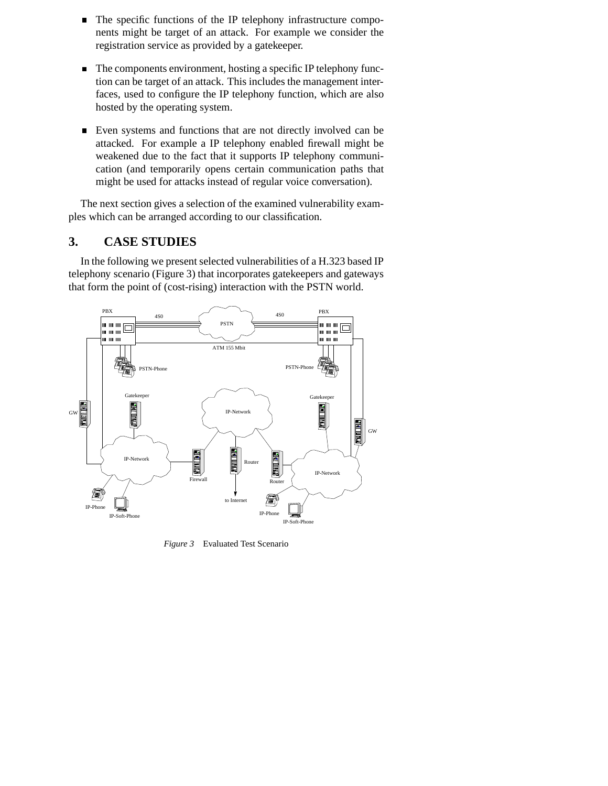- The specific functions of the IP telephony infrastructure components might be target of an attack. For example we consider the registration service as provided by a gatekeeper.
- The components environment, hosting a specific IP telephony function can be target of an attack. This includes the management interfaces, used to configure the IP telephony function, which are also hosted by the operating system.
- Even systems and functions that are not directly involved can be attacked. For example a IP telephony enabled firewall might be weakened due to the fact that it supports IP telephony communication (and temporarily opens certain communication paths that might be used for attacks instead of regular voice conversation).

The next section gives a selection of the examined vulnerability examples which can be arranged according to our classification.

# **3. CASE STUDIES**

In the following we present selected vulnerabilities of a H.323 based IP telephony scenario (Figure 3) that incorporates gatekeepers and gateways that form the point of (cost-rising) interaction with the PSTN world.



*Figure 3* Evaluated Test Scenario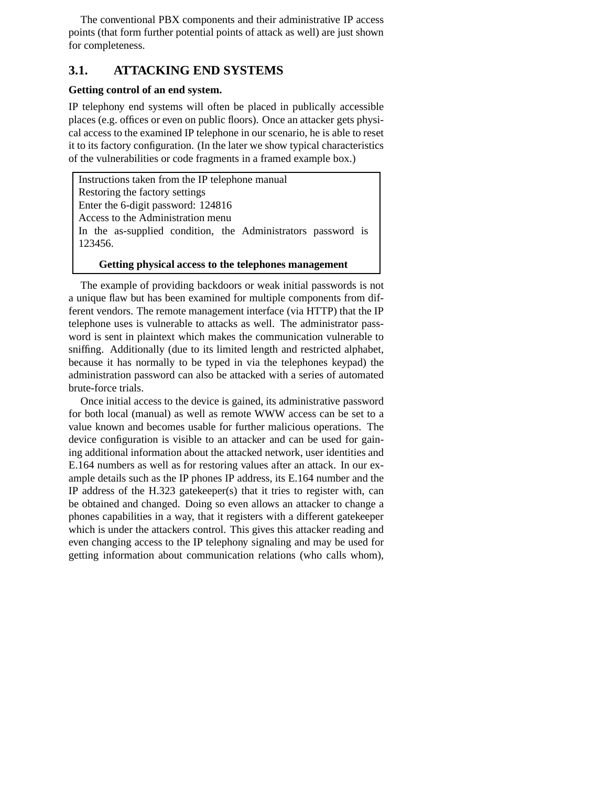The conventional PBX components and their administrative IP access points (that form further potential points of attack as well) are just shown for completeness.

# **3.1. ATTACKING END SYSTEMS**

### **Getting control of an end system.**

IP telephony end systems will often be placed in publically accessible places (e.g. offices or even on public floors). Once an attacker gets physical access to the examined IP telephone in our scenario, he is able to reset it to its factory configuration. (In the later we show typical characteristics of the vulnerabilities or code fragments in a framed example box.)

Instructions taken from the IP telephone manual Restoring the factory settings Enter the 6-digit password: 124816 Access to the Administration menu In the as-supplied condition, the Administrators password is 123456.

#### **Getting physical access to the telephones management**

The example of providing backdoors or weak initial passwords is not a unique flaw but has been examined for multiple components from different vendors. The remote management interface (via HTTP) that the IP telephone uses is vulnerable to attacks as well. The administrator password is sent in plaintext which makes the communication vulnerable to sniffing. Additionally (due to its limited length and restricted alphabet, because it has normally to be typed in via the telephones keypad) the administration password can also be attacked with a series of automated brute-force trials.

Once initial access to the device is gained, its administrative password for both local (manual) as well as remote WWW access can be set to a value known and becomes usable for further malicious operations. The device configuration is visible to an attacker and can be used for gaining additional information about the attacked network, user identities and E.164 numbers as well as for restoring values after an attack. In our example details such as the IP phones IP address, its E.164 number and the IP address of the H.323 gatekeeper(s) that it tries to register with, can be obtained and changed. Doing so even allows an attacker to change a phones capabilities in a way, that it registers with a different gatekeeper which is under the attackers control. This gives this attacker reading and even changing access to the IP telephony signaling and may be used for getting information about communication relations (who calls whom),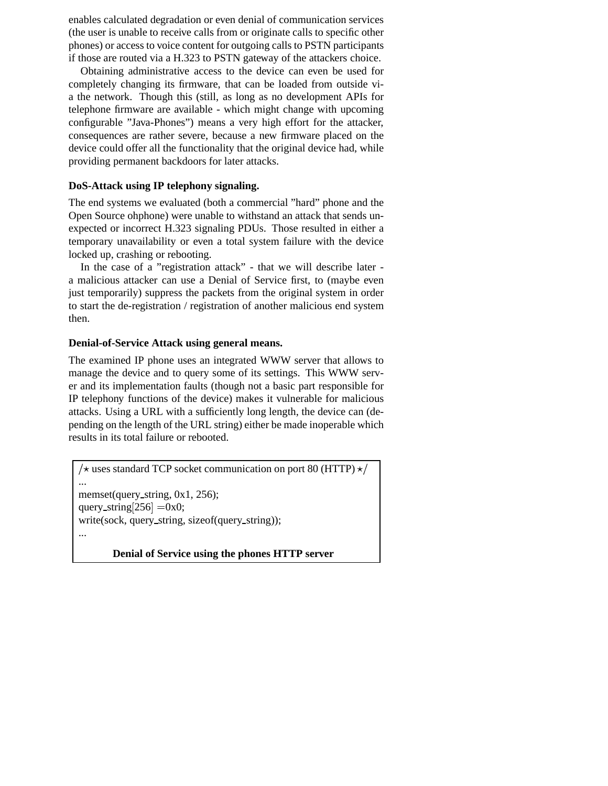enables calculated degradation or even denial of communication services (the user is unable to receive calls from or originate calls to specific other phones) or access to voice content for outgoing calls to PSTN participants if those are routed via a H.323 to PSTN gateway of the attackers choice.

Obtaining administrative access to the device can even be used for completely changing its firmware, that can be loaded from outside via the network. Though this (still, as long as no development APIs for telephone firmware are available - which might change with upcoming configurable "Java-Phones") means a very high effort for the attacker, consequences are rather severe, because a new firmware placed on the device could offer all the functionality that the original device had, while providing permanent backdoors for later attacks.

#### **DoS-Attack using IP telephony signaling.**

The end systems we evaluated (both a commercial "hard" phone and the Open Source ohphone) were unable to withstand an attack that sends unexpected or incorrect H.323 signaling PDUs. Those resulted in either a temporary unavailability or even a total system failure with the device locked up, crashing or rebooting.

In the case of a "registration attack" - that we will describe later a malicious attacker can use a Denial of Service first, to (maybe even just temporarily) suppress the packets from the original system in order to start the de-registration / registration of another malicious end system then.

#### **Denial-of-Service Attack using general means.**

The examined IP phone uses an integrated WWW server that allows to manage the device and to query some of its settings. This WWW server and its implementation faults (though not a basic part responsible for IP telephony functions of the device) makes it vulnerable for malicious attacks. Using a URL with a sufficiently long length, the device can (depending on the length of the URL string) either be made inoperable which results in its total failure or rebooted.

 $\angle$  uses standard TCP socket communication on port 80 (HTTP)  $\star$ / ... memset(query\_string, 0x1, 256); query\_string $[256] = 0x0$ ; write(sock, query\_string, sizeof(query\_string)); ...

**Denial of Service using the phones HTTP server**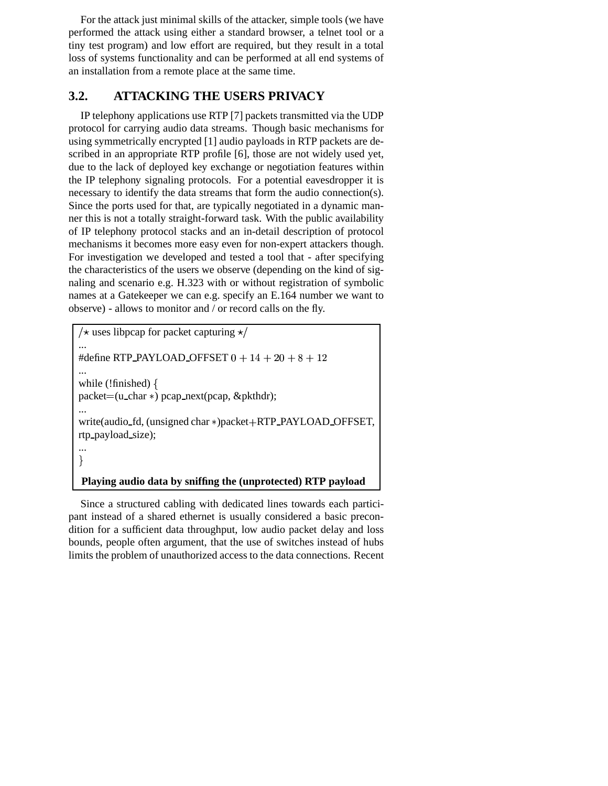For the attack just minimal skills of the attacker, simple tools (we have performed the attack using either a standard browser, a telnet tool or a tiny test program) and low effort are required, but they result in a total loss of systems functionality and can be performed at all end systems of an installation from a remote place at the same time.

# **3.2. ATTACKING THE USERS PRIVACY**

IP telephony applications use RTP [7] packets transmitted via the UDP protocol for carrying audio data streams. Though basic mechanisms for using symmetrically encrypted [1] audio payloads in RTP packets are described in an appropriate RTP profile [6], those are not widely used yet, due to the lack of deployed key exchange or negotiation features within the IP telephony signaling protocols. For a potential eavesdropper it is necessary to identify the data streams that form the audio connection(s). Since the ports used for that, are typically negotiated in a dynamic manner this is not a totally straight-forward task. With the public availability of IP telephony protocol stacks and an in-detail description of protocol mechanisms it becomes more easy even for non-expert attackers though. For investigation we developed and tested a tool that - after specifying the characteristics of the users we observe (depending on the kind of signaling and scenario e.g. H.323 with or without registration of symbolic names at a Gatekeeper we can e.g. specify an E.164 number we want to observe) - allows to monitor and / or record calls on the fly.

```
\angle\star uses libpcap for packet capturing \star...
#define RTP_PAYLOAD_OFFSET 0 + 14 + 20 + 8 + 12...
while (!finished) \{packet=(u_{\text{c}} \cdot \text{char} *) pcap_next(pcap, &pkthdr);
...
write(audio_fd, (unsigned char *)packet+RTP_PAYLOAD_OFFSET,
rtp_payload_size);
... 
\}Playing audio data by sniffing the (unprotected) RTP payload
```
Since a structured cabling with dedicated lines towards each participant instead of a shared ethernet is usually considered a basic precondition for a sufficient data throughput, low audio packet delay and loss bounds, people often argument, that the use of switches instead of hubs limits the problem of unauthorized access to the data connections. Recent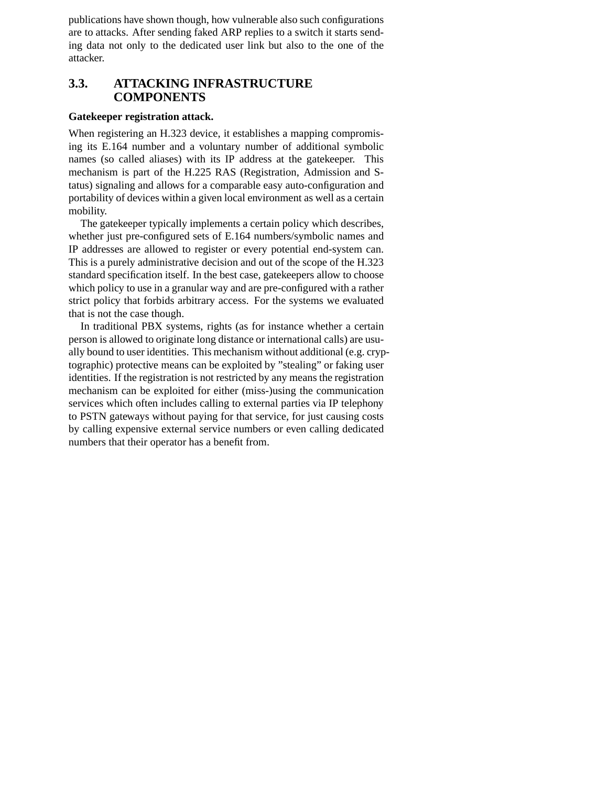publications have shown though, how vulnerable also such configurations are to attacks. After sending faked ARP replies to a switch it starts sending data not only to the dedicated user link but also to the one of the attacker.

### **3.3. ATTACKING INFRASTRUCTURE COMPONENTS**

#### **Gatekeeper registration attack.**

When registering an H.323 device, it establishes a mapping compromising its E.164 number and a voluntary number of additional symbolic names (so called aliases) with its IP address at the gatekeeper. This mechanism is part of the H.225 RAS (Registration, Admission and Status) signaling and allows for a comparable easy auto-configuration and portability of devices within a given local environment as well as a certain mobility.

The gatekeeper typically implements a certain policy which describes, whether just pre-configured sets of E.164 numbers/symbolic names and IP addresses are allowed to register or every potential end-system can. This is a purely administrative decision and out of the scope of the H.323 standard specification itself. In the best case, gatekeepers allow to choose which policy to use in a granular way and are pre-configured with a rather strict policy that forbids arbitrary access. For the systems we evaluated that is not the case though.

In traditional PBX systems, rights (as for instance whether a certain person is allowed to originate long distance or international calls) are usually bound to user identities. This mechanism without additional (e.g. cryptographic) protective means can be exploited by "stealing" or faking user identities. If the registration is not restricted by any means the registration mechanism can be exploited for either (miss-)using the communication services which often includes calling to external parties via IP telephony to PSTN gateways without paying for that service, for just causing costs by calling expensive external service numbers or even calling dedicated numbers that their operator has a benefit from.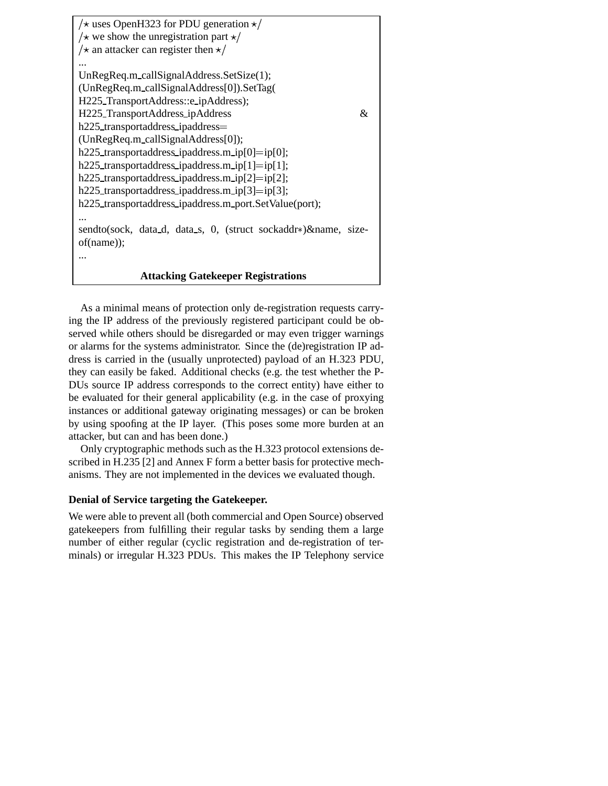```
/\star uses OpenH323 for PDU generation \star//\star we show the unregistration part \star/
/\star an attacker can register then \star/...
UnRegReq.m callSignalAddress.SetSize(1);
(UnRegReq.m callSignalAddress[0]).SetTag(
H225 TransportAddress::e ipAddress);
H225 TransportAddress ipAddress &
h225_transportaddress_ipaddress=
(UnRegReq.m callSignalAddress[0]);
h225_transportaddress_ipaddress.m_ip[0]=ip[0];h225_transportaddress_ipaddress.m_ip[1]=ip[1];h225_transportaddress_ipaddress.m_ip[2] = ip[2];
h225_transportaddress_ipaddress.m_ip[3]=ip[3];
h225_transportaddress_ipaddress.m_port.SetValue(port);
...
sendto(sock, data_d, data_s, 0, (struct sockaddr*)&name, size-
of(name));
...
             Attacking Gatekeeper Registrations
```
As a minimal means of protection only de-registration requests carrying the IP address of the previously registered participant could be observed while others should be disregarded or may even trigger warnings or alarms for the systems administrator. Since the (de)registration IP address is carried in the (usually unprotected) payload of an H.323 PDU, they can easily be faked. Additional checks (e.g. the test whether the P-DUs source IP address corresponds to the correct entity) have either to be evaluated for their general applicability (e.g. in the case of proxying instances or additional gateway originating messages) or can be broken by using spoofing at the IP layer. (This poses some more burden at an attacker, but can and has been done.)

Only cryptographic methods such as the H.323 protocol extensions described in H.235 [2] and Annex F form a better basis for protective mechanisms. They are not implemented in the devices we evaluated though.

#### **Denial of Service targeting the Gatekeeper.**

We were able to prevent all (both commercial and Open Source) observed gatekeepers from fulfilling their regular tasks by sending them a large number of either regular (cyclic registration and de-registration of terminals) or irregular H.323 PDUs. This makes the IP Telephony service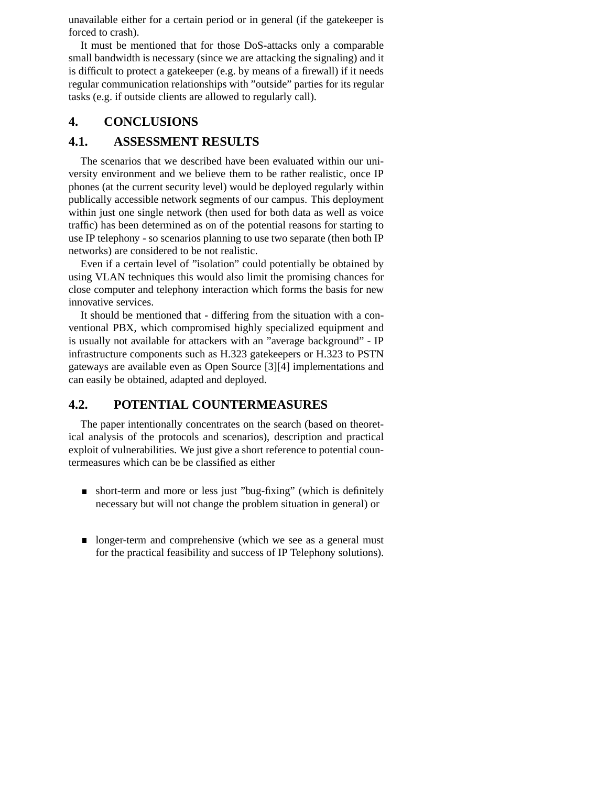unavailable either for a certain period or in general (if the gatekeeper is forced to crash).

It must be mentioned that for those DoS-attacks only a comparable small bandwidth is necessary (since we are attacking the signaling) and it is difficult to protect a gatekeeper (e.g. by means of a firewall) if it needs regular communication relationships with "outside" parties for its regular tasks (e.g. if outside clients are allowed to regularly call).

### **4. CONCLUSIONS**

### **4.1. ASSESSMENT RESULTS**

The scenarios that we described have been evaluated within our university environment and we believe them to be rather realistic, once IP phones (at the current security level) would be deployed regularly within publically accessible network segments of our campus. This deployment within just one single network (then used for both data as well as voice traffic) has been determined as on of the potential reasons for starting to use IP telephony - so scenarios planning to use two separate (then both IP networks) are considered to be not realistic.

Even if a certain level of "isolation" could potentially be obtained by using VLAN techniques this would also limit the promising chances for close computer and telephony interaction which forms the basis for new innovative services.

It should be mentioned that - differing from the situation with a conventional PBX, which compromised highly specialized equipment and is usually not available for attackers with an "average background" - IP infrastructure components such as H.323 gatekeepers or H.323 to PSTN gateways are available even as Open Source [3][4] implementations and can easily be obtained, adapted and deployed.

### **4.2. POTENTIAL COUNTERMEASURES**

The paper intentionally concentrates on the search (based on theoretical analysis of the protocols and scenarios), description and practical exploit of vulnerabilities. We just give a short reference to potential countermeasures which can be be classified as either

- short-term and more or less just "bug-fixing" (which is definitely necessary but will not change the problem situation in general) or
- **I** longer-term and comprehensive (which we see as a general must for the practical feasibility and success of IP Telephony solutions).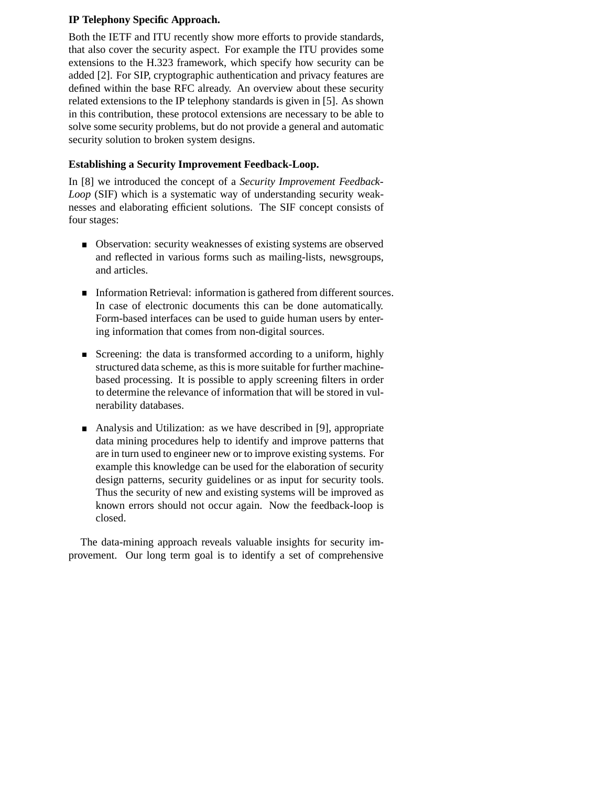### **IP**& **Telephony Specific Approach.**

Both the IETF and ITU recently show more efforts to provide standards, that also cover the security aspect. For example the ITU provides some extensions to the H.323 framework, which specify how security can be added [2]. For SIP, cryptographic authentication and privacy features are defined within the base RFC already. An overview about these security related extensions to the IP telephony standards is given in [5]. As shown in this contribution, these protocol extensions are necessary to be able to solve some security problems, but do not provide a general and automatic security solution to broken system designs.

#### **Establishing a Security Improvement Feedback-Loop.**

In [8] we introduced the concept of a *Security Improvement Feedback-Loop* (SIF) which is a systematic way of understanding security weaknesses and elaborating efficient solutions. The SIF concept consists of four stages:

- Observation: security weaknesses of existing systems are observed and reflected in various forms such as mailing-lists, newsgroups, and articles.
- Information Retrieval: information is gathered from different sources. In case of electronic documents this can be done automatically. Form-based interfaces can be used to guide human users by entering information that comes from non-digital sources.
- Screening: the data is transformed according to a uniform, highly structured data scheme, as this is more suitable for further machinebased processing. It is possible to apply screening filters in order to determine the relevance of information that will be stored in vulnerability databases.
- Analysis and Utilization: as we have described in [9], appropriate data mining procedures help to identify and improve patterns that are in turn used to engineer new or to improve existing systems. For example this knowledge can be used for the elaboration of security design patterns, security guidelines or as input for security tools. Thus the security of new and existing systems will be improved as known errors should not occur again. Now the feedback-loop is closed.

The data-mining approach reveals valuable insights for security improvement. Our long term goal is to identify a set of comprehensive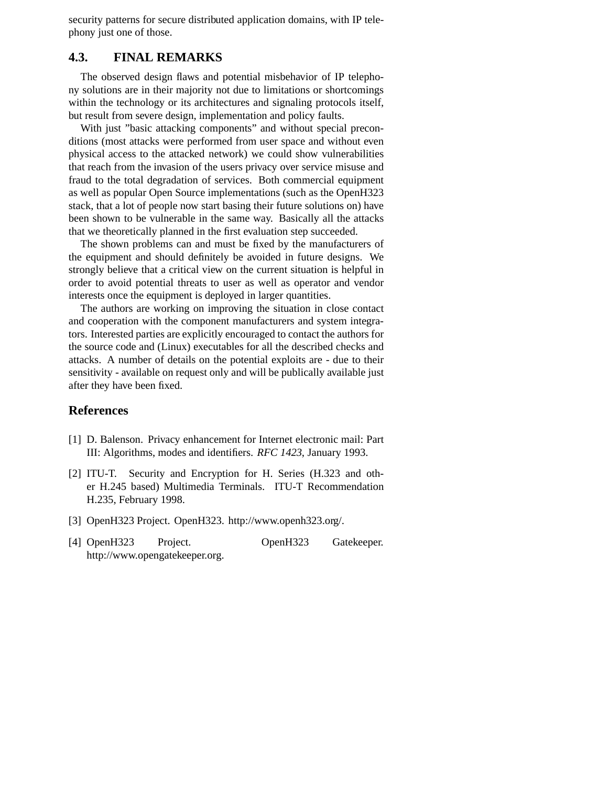security patterns for secure distributed application domains, with IP telephony just one of those.

### **4.3. FINAL REMARKS**

The observed design flaws and potential misbehavior of IP telephony solutions are in their majority not due to limitations or shortcomings within the technology or its architectures and signaling protocols itself, but result from severe design, implementation and policy faults.

With just "basic attacking components" and without special preconditions (most attacks were performed from user space and without even physical access to the attacked network) we could show vulnerabilities that reach from the invasion of the users privacy over service misuse and fraud to the total degradation of services. Both commercial equipment as well as popular Open Source implementations (such as the OpenH323 stack, that a lot of people now start basing their future solutions on) have been shown to be vulnerable in the same way. Basically all the attacks that we theoretically planned in the first evaluation step succeeded.

The shown problems can and must be fixed by the manufacturers of the equipment and should definitely be avoided in future designs. We strongly believe that a critical view on the current situation is helpful in order to avoid potential threats to user as well as operator and vendor interests once the equipment is deployed in larger quantities.

The authors are working on improving the situation in close contact and cooperation with the component manufacturers and system integrators. Interested parties are explicitly encouraged to contact the authors for the source code and (Linux) executables for all the described checks and attacks. A number of details on the potential exploits are - due to their sensitivity - available on request only and will be publically available just after they have been fixed.

#### **References**

- [1] D. Balenson. Privacy enhancement for Internet electronic mail: Part III: Algorithms, modes and identifiers. *RFC 1423*, January 1993.
- [2] ITU-T. Security and Encryption for H. Series (H.323 and other H.245 based) Multimedia Terminals. ITU-T Recommendation H.235, February 1998.
- [3] OpenH323 Project. OpenH323. http://www.openh323.org/.
- [4] OpenH323 Project. OpenH323 Gatekeeper. http://www.opengatekeeper.org.